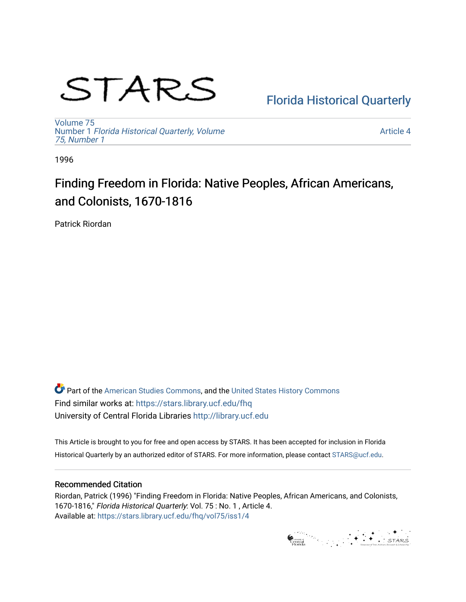# STARS

# [Florida Historical Quarterly](https://stars.library.ucf.edu/fhq)

[Volume 75](https://stars.library.ucf.edu/fhq/vol75) Number 1 [Florida Historical Quarterly, Volume](https://stars.library.ucf.edu/fhq/vol75/iss1)  [75, Number 1](https://stars.library.ucf.edu/fhq/vol75/iss1)

[Article 4](https://stars.library.ucf.edu/fhq/vol75/iss1/4) 

1996

# Finding Freedom in Florida: Native Peoples, African Americans, and Colonists, 1670-1816

Patrick Riordan

**C** Part of the [American Studies Commons](http://network.bepress.com/hgg/discipline/439?utm_source=stars.library.ucf.edu%2Ffhq%2Fvol75%2Fiss1%2F4&utm_medium=PDF&utm_campaign=PDFCoverPages), and the United States History Commons Find similar works at: <https://stars.library.ucf.edu/fhq> University of Central Florida Libraries [http://library.ucf.edu](http://library.ucf.edu/) 

This Article is brought to you for free and open access by STARS. It has been accepted for inclusion in Florida Historical Quarterly by an authorized editor of STARS. For more information, please contact [STARS@ucf.edu.](mailto:STARS@ucf.edu)

# Recommended Citation

Riordan, Patrick (1996) "Finding Freedom in Florida: Native Peoples, African Americans, and Colonists, 1670-1816," Florida Historical Quarterly: Vol. 75 : No. 1 , Article 4. Available at: [https://stars.library.ucf.edu/fhq/vol75/iss1/4](https://stars.library.ucf.edu/fhq/vol75/iss1/4?utm_source=stars.library.ucf.edu%2Ffhq%2Fvol75%2Fiss1%2F4&utm_medium=PDF&utm_campaign=PDFCoverPages) 

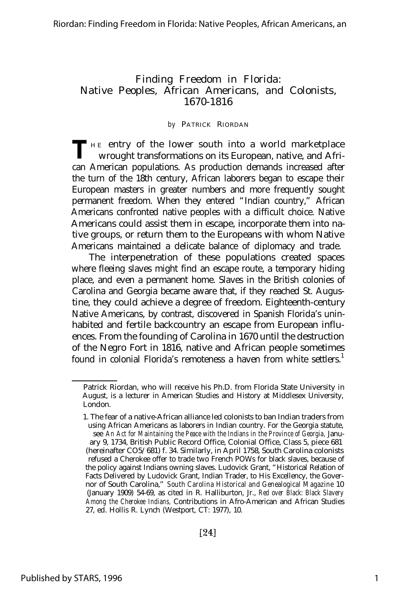## Finding Freedom in Florida: Native Peoples, African Americans, and Colonists, 1670-1816

#### *by* PATRICK RIORDAN

THE entry of the lower south into a world marketplace wrought transformations on its European, native, and Afriwrought transformations on its European, native, and African American populations. As production demands increased after the turn of the 18th century, African laborers began to escape their European masters in greater numbers and more frequently sought permanent freedom. When they entered "Indian country," African Americans confronted native peoples with a difficult choice. Native Americans could assist them in escape, incorporate them into native groups, or return them to the Europeans with whom Native Americans maintained a delicate balance of diplomacy and trade.

The interpenetration of these populations created spaces where fleeing slaves might find an escape route, a temporary hiding place, and even a permanent home. Slaves in the British colonies of Carolina and Georgia became aware that, if they reached St. Augustine, they could achieve a degree of freedom. Eighteenth-century Native Americans, by contrast, discovered in Spanish Florida's uninhabited and fertile backcountry an escape from European influences. From the founding of Carolina in 1670 until the destruction of the Negro Fort in 1816, native and African people sometimes found in colonial Florida's remoteness a haven from white settlers.<sup>1</sup>

Patrick Riordan, who will receive his Ph.D. from Florida State University in August, is a lecturer in American Studies and History at Middlesex University, London.

<sup>1.</sup> The fear of a native-African alliance led colonists to ban Indian traders from using African Americans as laborers in Indian country. For the Georgia statute, see An Act for Maintaining the Peace with the Indians in the Province of Georgia, Janu ary 9, 1734, British Public Record Office, Colonial Office, Class 5, piece 681 (hereinafter CO5/681) f. 34. Similarly, in April 1758, South Carolina colonists refused a Cherokee offer to trade two French POWs for black slaves, because of the policy against Indians owning slaves. Ludovick Grant, "Historical Relation of Facts Delivered by Ludovick Grant, Indian Trader, to His Excellency, the Gover nor of South Carolina," *South Carolina Historical and Genealogical Magazine* 10 (January 1909) 54-69, as cited in R. Halliburton, Jr., *Red over Black: Black Slavery Among the Cherokee Indians,* Contributions in Afro-American and African Studies 27, ed. Hollis R. Lynch (Westport, CT: 1977), 10.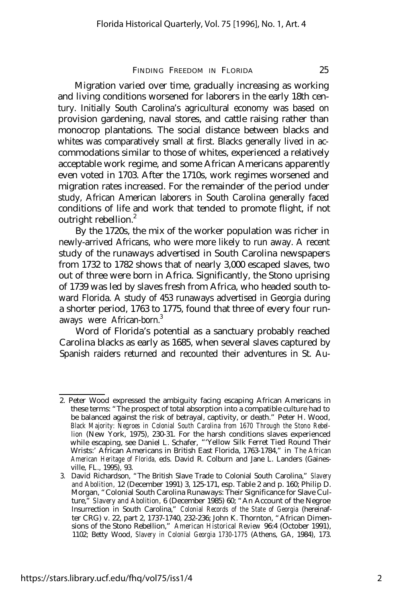Migration varied over time, gradually increasing as working and living conditions worsened for laborers in the early 18th century. Initially South Carolina's agricultural economy was based on provision gardening, naval stores, and cattle raising rather than monocrop plantations. The social distance between blacks and whites was comparatively small at first. Blacks generally lived in accommodations similar to those of whites, experienced a relatively acceptable work regime, and some African Americans apparently even voted in 1703. After the 1710s, work regimes worsened and migration rates increased. For the remainder of the period under study, African American laborers in South Carolina generally faced conditions of life and work that tended to promote flight, if not outright rebellion.<sup>2</sup>

By the 1720s, the mix of the worker population was richer in newly-arrived Africans, who were more likely to run away. A recent study of the runaways advertised in South Carolina newspapers from 1732 to 1782 shows that of nearly 3,000 escaped slaves, two out of three were born in Africa. Significantly, the Stono uprising of 1739 was led by slaves fresh from Africa, who headed south toward Florida. A study of 453 runaways advertised in Georgia during a shorter period, 1763 to 1775, found that three of every four runaways were African-born.<sup>3</sup>

Word of Florida's potential as a sanctuary probably reached Carolina blacks as early as 1685, when several slaves captured by Spanish raiders returned and recounted their adventures in St. Au-

<sup>2.</sup> Peter Wood expressed the ambiguity facing escaping African Americans in these terms: "The prospect of total absorption into a compatible culture had to be balanced against the risk of betrayal, captivity, or death." Peter H. Wood, *Black Majority: Negroes in Colonial South Carolina from 1670 Through the Stono Rebellion* (New York, 1975), 230-31. For the harsh conditions slaves experienced while escaping, see Daniel L. Schafer, "'Yellow Silk Ferret Tied Round Their Wrists:' African Americans in British East Florida, 1763-1784," in *The African American Heritage of Florida,* eds. David R. Colburn and Jane L. Landers (Gainesville, FL., 1995), 93.

<sup>3.</sup> David Richardson, "The British Slave Trade to Colonial South Carolina," *Slavery and Abolition,* 12 (December 1991) 3, 125-171, esp. Table 2 and p. 160; Philip D. Morgan, "Colonial South Carolina Runaways: Their Significance for Slave Culture," *Slavery and Abolition,* 6 (December 1985) 60; "An Account of the Negroe Insurrection in South Carolina," *Colonial Records of the State of Georgia* (hereinafter CRG) v. 22, part 2, 1737-1740, 232-236; John K. Thornton, "African Dimensions of the Stono Rebellion," *American Historical Review* 96:4 (October 1991), 1102; Betty Wood, *Slavery in Colonial Georgia 1730-1775* (Athens, GA, 1984), 173.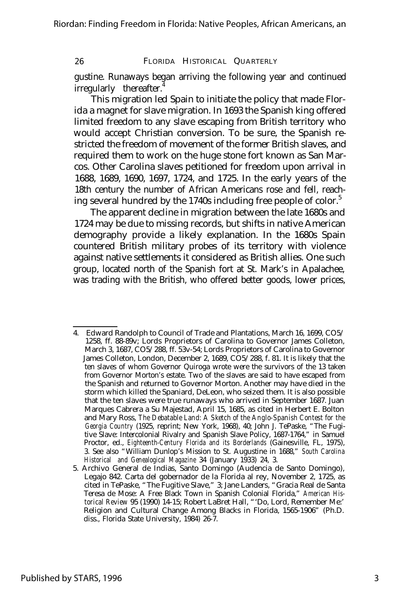gustine. Runaways began arriving the following year and continued irregularly thereafter.<sup>4</sup>

This migration led Spain to initiate the policy that made Florida a magnet for slave migration. In 1693 the Spanish king offered limited freedom to any slave escaping from British territory who would accept Christian conversion. To be sure, the Spanish restricted the freedom of movement of the former British slaves, and required them to work on the huge stone fort known as San Marcos. Other Carolina slaves petitioned for freedom upon arrival in 1688, 1689, 1690, 1697, 1724, and 1725. In the early years of the 18th century the number of African Americans rose and fell, reaching several hundred by the 1740s including free people of color.<sup>5</sup>

The apparent decline in migration between the late 1680s and 1724 may be due to missing records, but shifts in native American demography provide a likely explanation. In the 1680s Spain countered British military probes of its territory with violence against native settlements it considered as British allies. One such group, located north of the Spanish fort at St. Mark's in Apalachee, was trading with the British, who offered better goods, lower prices,

<sup>4.</sup> Edward Randolph to Council of Trade and Plantations, March 16, 1699, CO5/ 1258, ff. 88-89v; Lords Proprietors of Carolina to Governor James Colleton, March 3, 1687, CO5/288, ff. 53v-54; Lords Proprietors of Carolina to Governor James Colleton, London, December 2, 1689, CO5/288, f. 81. It is likely that the ten slaves of whom Governor Quiroga wrote were the survivors of the 13 taken from Governor Morton's estate. Two of the slaves are said to have escaped from the Spanish and returned to Governor Morton. Another may have died in the storm which killed the Spaniard, DeLeon, who seized them. It is also possible that the ten slaves were true runaways who arrived in September 1687. Juan Marques Cabrera a Su Majestad, April 15, 1685, as cited in Herbert E. Bolton and Mary Ross, *The Debatable Land: A Sketch of the Anglo-Spanish Contest for the Georgia Country* (1925, reprint; New York, 1968), 40; John J. TePaske, "The Fugitive Slave: Intercolonial Rivalry and Spanish Slave Policy, 1687-1764," in Samuel Proctor, ed., *Eighteenth-Century Florida and its Borderlands* (Gainesville, FL, 1975), 3. See also "William Dunlop's Mission to St. Augustine in 1688," *South Carolina Historical and Genealogical Magazine* 34 (January 1933) 24, 3.

<sup>5.</sup> Archivo General de Indias, Santo Domingo (Audencia de Santo Domingo), Legajo 842. Carta del gobernador de la Florida al rey, November 2, 1725, as cited in TePaske, "The Fugitive Slave," 3; Jane Landers, "Gracia Real de Santa Teresa de Mose: A Free Black Town in Spanish Colonial Florida," *American Historical Review* 95 (1990) 14-15; Robert LaBret Hall, "'Do, Lord, Remember Me:' Religion and Cultural Change Among Blacks in Florida, 1565-1906" (Ph.D. diss., Florida State University, 1984) 26-7.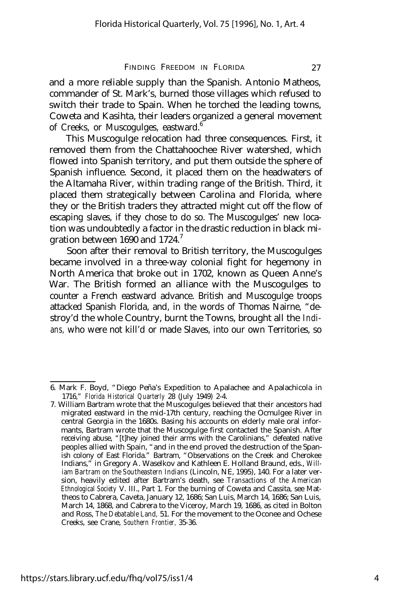and a more reliable supply than the Spanish. Antonio Matheos, commander of St. Mark's, burned those villages which refused to switch their trade to Spain. When he torched the leading towns, Coweta and Kasihta, their leaders organized a general movement of Creeks, or Muscogulges, eastward.<sup>6</sup>

This Muscogulge relocation had three consequences. First, it removed them from the Chattahoochee River watershed, which flowed into Spanish territory, and put them outside the sphere of Spanish influence. Second, it placed them on the headwaters of the Altamaha River, within trading range of the British. Third, it placed them strategically between Carolina and Florida, where they or the British traders they attracted might cut off the flow of escaping slaves, if they chose to do so. The Muscogulges' new location was undoubtedly a factor in the drastic reduction in black migration between 1690 and 1724.<sup>7</sup>

Soon after their removal to British territory, the Muscogulges became involved in a three-way colonial fight for hegemony in North America that broke out in 1702, known as Queen Anne's War. The British formed an alliance with the Muscogulges to counter a French eastward advance. British and Muscogulge troops attacked Spanish Florida, and, in the words of Thomas Nairne, "destroy'd the whole Country, burnt the Towns, brought all the *Indians,* who were not kill'd or made Slaves, into our own Territories, so

<sup>6.</sup> Mark F. Boyd, "Diego Peña's Expedition to Apalachee and Apalachicola in 1716," *Florida Historical Quarterly* 28 (July 1949) 2-4.

<sup>7.</sup> William Bartram wrote that the Muscogulges believed that their ancestors had migrated eastward in the mid-17th century, reaching the Ocmulgee River in central Georgia in the 1680s. Basing his accounts on elderly male oral informants, Bartram wrote that the Muscogulge first contacted the Spanish. After receiving abuse, "[t]hey joined their arms with the Carolinians," defeated native peoples allied with Spain, "and in the end proved the destruction of the Spanish colony of East Florida." Bartram, "Observations on the Creek and Cherokee Indians," in Gregory A. Waselkov and Kathleen E. Holland Braund, eds., *William Bartram on the Southeastern Indians* (Lincoln, NE, 1995), 140. For a later version, heavily edited after Bartram's death, see *Transactions of the American Ethnological Society* V. III., Part 1. For the burning of Coweta and Cassita, see Mattheos to Cabrera, Caveta, January 12, 1686; San Luis, March 14, 1686; San Luis, March 14, 1868, and Cabrera to the Viceroy, March 19, 1686, as cited in Bolton and Ross, *The Debatable Land,* 51. For the movement to the Oconee and Ochese Creeks, see Crane, *Southern Frontier,* 35-36.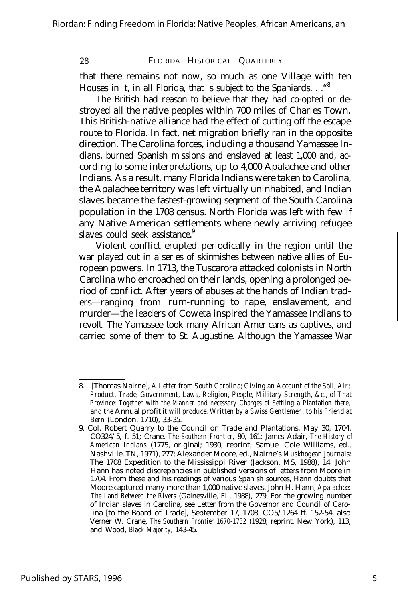that there remains not now, so much as one Village with ten Houses in it, in all Florida, that is subject to the Spaniards. . . "<sup>8</sup>

The British had reason to believe that they had co-opted or destroyed all the native peoples within 700 miles of Charles Town. This British-native alliance had the effect of cutting off the escape route to Florida. In fact, net migration briefly ran in the opposite direction. The Carolina forces, including a thousand Yamassee Indians, burned Spanish missions and enslaved at least 1,000 and, according to some interpretations, up to 4,000 Apalachee and other Indians. As a result, many Florida Indians were taken to Carolina, the Apalachee territory was left virtually uninhabited, and Indian slaves became the fastest-growing segment of the South Carolina population in the 1708 census. North Florida was left with few if any Native American settlements where newly arriving refugee slaves could seek assistance.<sup>9</sup>

Violent conflict erupted periodically in the region until the war played out in a series of skirmishes between native allies of European powers. In 1713, the Tuscarora attacked colonists in North Carolina who encroached on their lands, opening a prolonged period of conflict. After years of abuses at the hands of Indian traders— ranging from rum-running to rape, enslavement, and murder— the leaders of Coweta inspired the Yamassee Indians to revolt. The Yamassee took many African Americans as captives, and carried some of them to St. Augustine. Although the Yamassee War

<sup>8.</sup> [Thomas Nairne], *A Letter from South Carolina; Giving an Account of the Soil, Air; Product, Trade, Government, Laws, Religion, People, Military Strength, &c., of That Province; Together with the Manner and necessary Charges of Settling a Plantation there, and the* Annual profit *it will produce. Written by a Swiss Gentlemen, to his Friend at Bern* (London, 1710), 33-35.

<sup>9.</sup> Col. Robert Quarry to the Council on Trade and Plantations, May 30, 1704, CO324/5, f. 51; Crane, *The Southern Frontier,* 80, 161; James Adair, *The History of American Indians* (1775, original; 1930, reprint; Samuel Cole Williams, ed., Nashville, TN, 1971), 277; Alexander Moore, ed., Nairne's *Muskhogean Journals:* The 1708 Expedition to the Mississippi River (Jackson, MS, 1988), 14. John Hann has noted discrepancies in published versions of letters from Moore in 1704. From these and his readings of various Spanish sources, Hann doubts that Moore captured many more than 1,000 native slaves. John H. Hann, *Apalachee: The Land Between the Rivers* (Gainesville, FL, 1988), 279. For the growing number of Indian slaves in Carolina, see Letter from the Governor and Council of Carolina [to the Board of Trade], September 17, 1708, CO5/1264 ff. 152-54, also Verner W. Crane, *The Southern Frontier 1670-1732* (1928; reprint, New York), 113, and Wood, *Black Majority,* 143-45.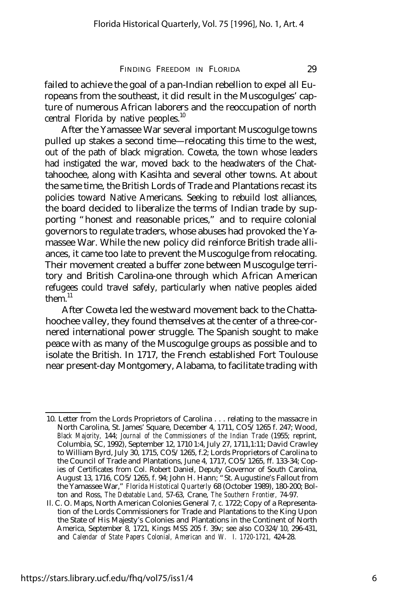failed to achieve the goal of a pan-Indian rebellion to expel all Europeans from the southeast, it did result in the Muscogulges' capture of numerous African laborers and the reoccupation of north central Florida by native peoples.<sup>10</sup>

After the Yamassee War several important Muscogulge towns pulled up stakes a second time— relocating this time to the west, out of the path of black migration. Coweta, the town whose leaders had instigated the war, moved back to the headwaters of the Chattahoochee, along with Kasihta and several other towns. At about the same time, the British Lords of Trade and Plantations recast its policies toward Native Americans. Seeking to rebuild lost alliances, the board decided to liberalize the terms of Indian trade by supporting "honest and reasonable prices," and to require colonial governors to regulate traders, whose abuses had provoked the Yamassee War. While the new policy did reinforce British trade alliances, it came too late to prevent the Muscogulge from relocating. Their movement created a buffer zone between Muscogulge territory and British Carolina-one through which African American refugees could travel safely, particularly when native peoples aided them $11$ 

After Coweta led the westward movement back to the Chattahoochee valley, they found themselves at the center of a three-cornered international power struggle. The Spanish sought to make peace with as many of the Muscogulge groups as possible and to isolate the British. In 1717, the French established Fort Toulouse near present-day Montgomery, Alabama, to facilitate trading with

<sup>10.</sup> Letter from the Lords Proprietors of Carolina . . . relating to the massacre in North Carolina, St. James' Square, December 4, 1711, CO5/1265 f. 247; Wood, *Black Majority,* 144; *Journal of the Commissioners of the Indian Trade* (1955; reprint, Columbia, SC, 1992), September 12, 1710 1:4, July 27, 1711,1:11; David Crawley to William Byrd, July 30, 1715, CO5/1265, f.2; Lords Proprietors of Carolina to the Council of Trade and Plantations, June 4, 1717, CO5/1265, ff. 133-34; Copies of Certificates from Col. Robert Daniel, Deputy Governor of South Carolina, August 13, 1716, CO5/1265, f. 94; John H. Hann; "St. Augustine's Fallout from the Yamassee War," *Florida Histotical Quarterly* 68 (October 1989), 180-200; Bolton and Ross, *The Debatable Land,* 57-63, Crane, *The Southern Frontier,* 74-97.

Il. C. O. Maps, North American Colonies General 7, *c.* 1722; Copy of a Representation of the Lords Commissioners for Trade and Plantations to the King Upon the State of His Majesty's Colonies and Plantations in the Continent of North America, September 8, 1721, Kings MSS 205 f. 39v; see also CO324/10, 296-431, and *Calendar of State Papers Colonial, American and W. I. 1720-1721,* 424-28.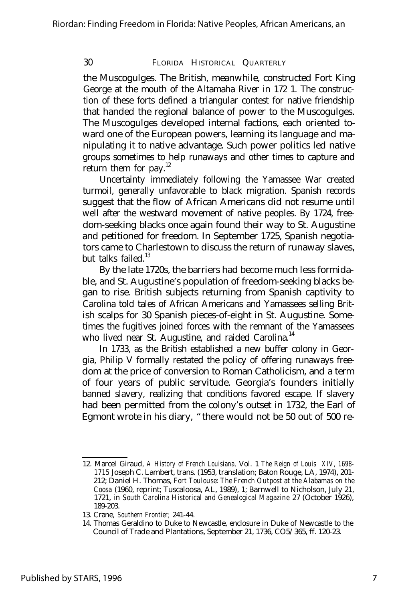the Muscogulges. The British, meanwhile, constructed Fort King George at the mouth of the Altamaha River in 172 1. The construction of these forts defined a triangular contest for native friendship that handed the regional balance of power to the Muscogulges. The Muscogulges developed internal factions, each oriented toward one of the European powers, learning its language and manipulating it to native advantage. Such power politics led native groups sometimes to help runaways and other times to capture and return them for pay. $12$ 

Uncertainty immediately following the Yamassee War created turmoil, generally unfavorable to black migration. Spanish records suggest that the flow of African Americans did not resume until well after the westward movement of native peoples. By 1724, freedom-seeking blacks once again found their way to St. Augustine and petitioned for freedom. In September 1725, Spanish negotiators came to Charlestown to discuss the return of runaway slaves, but talks failed. $13$ 

By the late 1720s, the barriers had become much less formidable, and St. Augustine's population of freedom-seeking blacks began to rise. British subjects returning from Spanish captivity to Carolina told tales of African Americans and Yamassees selling British scalps for 30 Spanish pieces-of-eight in St. Augustine. Sometimes the fugitives joined forces with the remnant of the Yamassees who lived near St. Augustine, and raided Carolina.<sup>14</sup>

In 1733, as the British established a new buffer colony in Georgia, Philip V formally restated the policy of offering runaways freedom at the price of conversion to Roman Catholicism, and a term of four years of public servitude. Georgia's founders initially banned slavery, realizing that conditions favored escape. If slavery had been permitted from the colony's outset in 1732, the Earl of Egmont wrote in his diary, "there would not be 50 out of 500 re-

<sup>12.</sup> Marcel Giraud, *A History of French Louisiana,* Vol. 1 *The Reign of Louis XIV, 1698- 1715* Joseph C. Lambert, trans. (1953, translation; Baton Rouge, LA, 1974), 201- 212; Daniel H. Thomas, *Fort Toulouse: The French Outpost at the Alabamas on the Coosa* (1960, reprint; Tuscaloosa, AL, 1989), 1; Barnwell to Nicholson, July 21, 1721, in *South Carolina Historical and Genealogical Magazine* 27 (October 1926), 189-203.

<sup>13.</sup> Crane, *Southern Frontier;* 241-44.

<sup>14.</sup> Thomas Geraldino to Duke to Newcastle, enclosure in Duke of Newcastle to the Council of Trade and Plantations, September 21, 1736, CO5/365, ff. 120-23.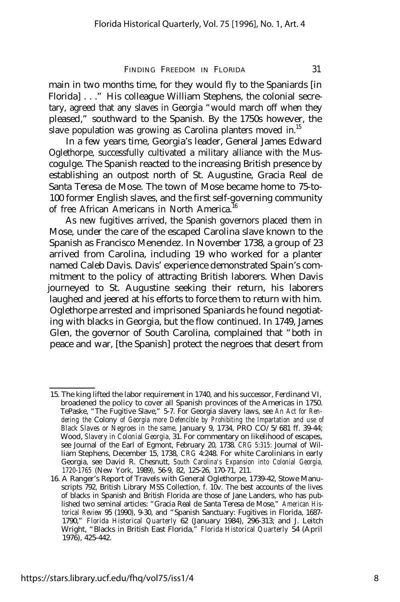main in two months time, for they would fly to the Spaniards [in Florida] . . ." His colleague William Stephens, the colonial secretary, agreed that any slaves in Georgia "would march off when they pleased," southward to the Spanish. By the 1750s however, the slave population was growing as Carolina planters moved in.<sup>15</sup>

In a few years time, Georgia's leader, General James Edward Oglethorpe, successfully cultivated a military alliance with the Muscogulge. The Spanish reacted to the increasing British presence by establishing an outpost north of St. Augustine, Gracia Real de Santa Teresa de Mose. The town of Mose became home to 75-to-100 former English slaves, and the first self-governing community of free African Americans in North America.<sup>16</sup>

As new fugitives arrived, the Spanish governors placed them in Mose, under the care of the escaped Carolina slave known to the Spanish as Francisco Menendez. In November 1738, a group of 23 arrived from Carolina, including 19 who worked for a planter named Caleb Davis. Davis' experience demonstrated Spain's commitment to the policy of attracting British laborers. When Davis journeyed to St. Augustine seeking their return, his laborers laughed and jeered at his efforts to force them to return with him. Oglethorpe arrested and imprisoned Spaniards he found negotiating with blacks in Georgia, but the flow continued. In 1749, James Glen, the governor of South Carolina, complained that "both in peace and war, [the Spanish] protect the negroes that desert from

<sup>15.</sup> The king lifted the labor requirement in 1740, and his successor, Ferdinand VI, broadened the policy to cover all Spanish provinces of the Americas in 1750. TePaske, "The Fugitive Slave," 5-7. For Georgia slavery laws, see *An Act for Rendering the* Colony *of Georgia more Defencible by Prohibiting the Impartation and use of Black Slaves or Negroes in the same,* January 9, 1734, PRO CO/5/681 ff. 39-44; Wood, *Slavery in Colonial Georgia,* 31. For commentary on likelihood of escapes, see Journal of the Earl of Egmont, February 20, 1738. *CRG 5:315:* Journal of William Stephens, December 15, 1738, *CRG* 4:248. For white Carolinians in early Georgia, see David R. Chesnutt, *South Carolina's Expansion into Colonial Georgia, 1720-1765* (New York, 1989), 56-9, 82, 125-26, 170-71, 211.

<sup>16.</sup> A Ranger's Report of Travels with General Oglethorpe, 1739-42, Stowe Manuscripts 792, British Library MSS Collection, f. 10v. The best accounts of the lives of blacks in Spanish and British Florida are those of Jane Landers, who has published two seminal articles: "Gracia Real de Santa Teresa de Mose," *American Historical Review* 95 (1990), 9-30, and "Spanish Sanctuary: Fugitives in Florida, 1687- 1790," *Florida Historical Quarterly* 62 (January 1984), 296-313; and J. Leitch Wright, "Blacks in British East Florida," *Florida Historical Quarterly* 54 (April 1976), 425-442.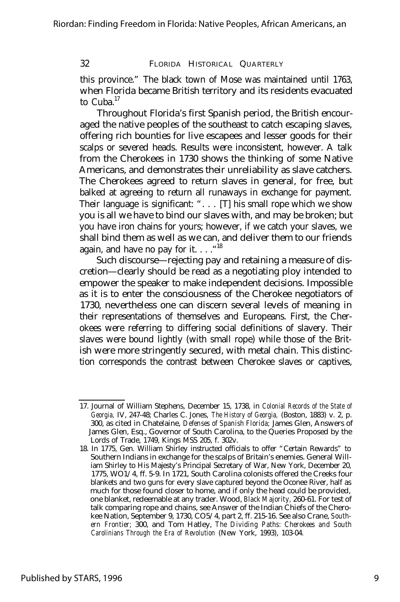this province." The black town of Mose was maintained until 1763, when Florida became British territory and its residents evacuated to Cuba $^{17}$ 

Throughout Florida's first Spanish period, the British encouraged the native peoples of the southeast to catch escaping slaves, offering rich bounties for live escapees and lesser goods for their scalps or severed heads. Results were inconsistent, however. A talk from the Cherokees in 1730 shows the thinking of some Native Americans, and demonstrates their unreliability as slave catchers. The Cherokees agreed to return slaves in general, for free, but balked at agreeing to return all runaways in exchange for payment. Their language is significant: ". . . [T] his small rope which we show you is all we have to bind our slaves with, and may be broken; but you have iron chains for yours; however, if we catch your slaves, we shall bind them as well as we can, and deliver them to our friends again, and have no pay for it.  $\dots$ ."<sup>18</sup>

Such discourse— rejecting pay and retaining a measure of discretion— clearly should be read as a negotiating ploy intended to empower the speaker to make independent decisions. Impossible as it is to enter the consciousness of the Cherokee negotiators of 1730, nevertheless one can discern several levels of meaning in their representations of themselves and Europeans. First, the Cherokees were referring to differing social definitions of slavery. Their slaves were bound lightly (with small rope) while those of the British were more stringently secured, with metal chain. This distinction corresponds the contrast between Cherokee slaves or captives,

<sup>17.</sup> Journal of William Stephens, December 15, 1738, in *Colonial Records of the State of Georgia,* IV, 247-48; Charles C. Jones, *The History of Georgia,* (Boston, 1883) v. 2, p. 300, as cited in Chatelaine, *Defenses of Spanish Florida;* James Glen, Answers of James Glen, Esq., Governor of South Carolina, to the Queries Proposed by the Lords of Trade, 1749, Kings MSS 205, f. 302v.

<sup>18.</sup> In 1775, Gen. William Shirley instructed officials to offer "Certain Rewards" to Southern Indians in exchange for the scalps of Britain's enemies. General William Shirley to His Majesty's Principal Secretary of War, New York, December 20, 1775, WO1/4, ff. 5-9. In 1721, South Carolina colonists offered the Creeks four blankets and two guns for every slave captured beyond the Oconee River, half as much for those found closer to home, and if only the head could be provided, one blanket, redeemable at any trader. Wood, *Black Majority,* 260-61. For test of talk comparing rope and chains, see Answer of the Indian Chiefs of the Cherokee Nation, September 9, 1730, CO5/4, part 2, ff. 215-16. See also Crane, *Southern Frontier;* 300, and Tom Hatley, *The Dividing Paths: Cherokees and South Carolinians Through the Era of Revolution* (New York, 1993), 103-04.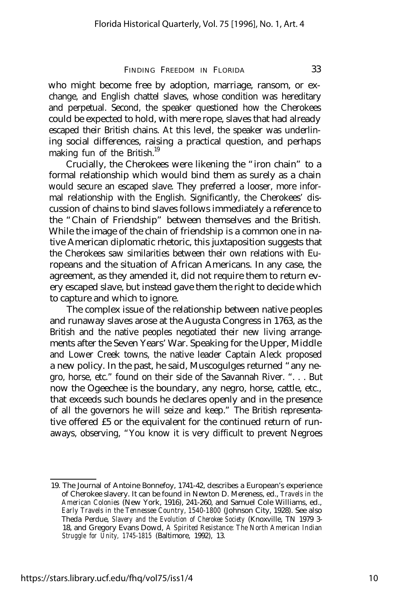who might become free by adoption, marriage, ransom, or exchange, and English chattel slaves, whose condition was hereditary and perpetual. Second, the speaker questioned how the Cherokees could be expected to hold, with mere rope, slaves that had already escaped their British chains. At this level, the speaker was underlining social differences, raising a practical question, and perhaps making fun of the British.<sup>19</sup>

Crucially, the Cherokees were likening the "iron chain" to a formal relationship which would bind them as surely as a chain would secure an escaped slave. They preferred a looser, more informal relationship with the English. Significantly, the Cherokees' discussion of chains to bind slaves follows immediately a reference to the "Chain of Friendship" between themselves and the British. While the image of the chain of friendship is a common one in native American diplomatic rhetoric, this juxtaposition suggests that the Cherokees saw similarities between their own relations with Europeans and the situation of African Americans. In any case, the agreement, as they amended it, did not require them to return every escaped slave, but instead gave them the right to decide which to capture and which to ignore.

The complex issue of the relationship between native peoples and runaway slaves arose at the Augusta Congress in 1763, as the British and the native peoples negotiated their new living arrangements after the Seven Years' War. Speaking for the Upper, Middle and Lower Creek towns, the native leader Captain Aleck proposed a new policy. In the past, he said, Muscogulges returned "any negro, horse, etc." found on their side of the Savannah River. ". . . But now the Ogeechee is the boundary, any negro, horse, cattle, etc., that exceeds such bounds he declares openly and in the presence of all the governors he will seize and keep." The British representative offered £5 or the equivalent for the continued return of runaways, observing, "You know it is very difficult to prevent Negroes

<sup>19.</sup> The Journal of Antoine Bonnefoy, 1741-42, describes a European's experience of Cherokee slavery. It can be found in Newton D. Mereness, ed., *Travels in the American Colonies* (New York, 1916), 241-260, and Samuel Cole Williams, ed., *Early Travels in the Tennessee Country, 1540-1800* (Johnson City, 1928). See also Theda Perdue, *Slavery and the Evolution of Cherokee Society* (Knoxville, TN 1979 3- 18, and Gregory Evans Dowd, *A Spirited Resistance: The North American Indian Struggle for Unity, 1745-1815* (Baltimore, 1992), 13.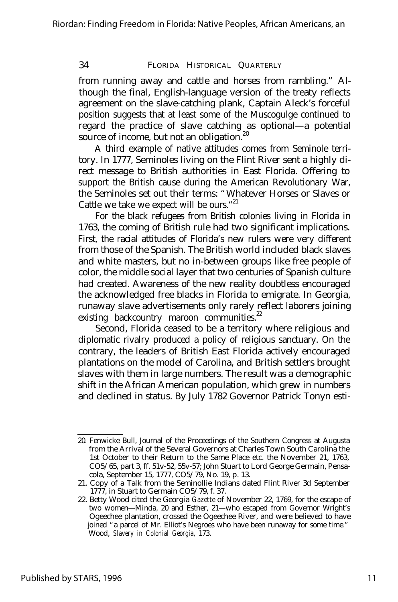from running away and cattle and horses from rambling." Although the final, English-language version of the treaty reflects agreement on the slave-catching plank, Captain Aleck's forceful position suggests that at least some of the Muscogulge continued to regard the practice of slave catching as optional— a potential source of income, but not an obligation.<sup>20</sup>

A third example of native attitudes comes from Seminole territory. In 1777, Seminoles living on the Flint River sent a highly direct message to British authorities in East Florida. Offering to support the British cause during the American Revolutionary War, the Seminoles set out their terms: "Whatever Horses or Slaves or Cattle we take we expect will be ours."<sup>21</sup>

For the black refugees from British colonies living in Florida in 1763, the coming of British rule had two significant implications. First, the racial attitudes of Florida's new rulers were very different from those of the Spanish. The British world included black slaves and white masters, but no in-between groups like free people of color, the middle social layer that two centuries of Spanish culture had created. Awareness of the new reality doubtless encouraged the acknowledged free blacks in Florida to emigrate. In Georgia, runaway slave advertisements only rarely reflect laborers joining existing backcountry maroon communities.<sup>22</sup>

Second, Florida ceased to be a territory where religious and diplomatic rivalry produced a policy of religious sanctuary. On the contrary, the leaders of British East Florida actively encouraged plantations on the model of Carolina, and British settlers brought slaves with them in large numbers. The result was a demographic shift in the African American population, which grew in numbers and declined in status. By July 1782 Governor Patrick Tonyn esti-

<sup>20.</sup> Fenwicke Bull, Journal of the Proceedings of the Southern Congress at Augusta from the Arrival of the Several Governors at Charles Town South Carolina the 1st October to their Return to the Same Place etc. the November 21, 1763, CO5/65, part 3, ff. 51v-52, 55v-57; John Stuart to Lord George Germain, Pensacola, September 15, 1777, CO5/79, No. 19, p. 13.

<sup>21.</sup> Copy of a Talk from the Seminollie Indians dated Flint River 3d September 1777, in Stuart to Germain CO5/79, f. 37.

<sup>22.</sup> Betty Wood cited the Georgia *Gazette* of November 22, 1769, for the escape of two women— Minda, 20 and Esther, 21— who escaped from Governor Wright's Ogeechee plantation, crossed the Ogeechee River, and were believed to have joined "a parcel of Mr. Elliot's Negroes who have been runaway for some time." Wood, *Slavery in Colonial Georgia,* 173.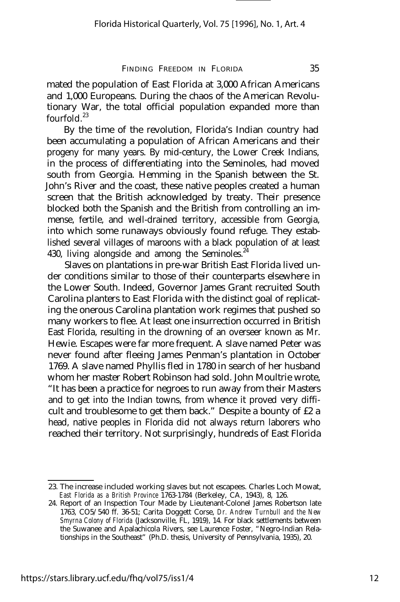mated the population of East Florida at 3,000 African Americans and 1,000 Europeans. During the chaos of the American Revolutionary War, the total official population expanded more than  $fourfold$ <sup>23</sup>

By the time of the revolution, Florida's Indian country had been accumulating a population of African Americans and their progeny for many years. By mid-century, the Lower Creek Indians, in the process of differentiating into the Seminoles, had moved south from Georgia. Hemming in the Spanish between the St. John's River and the coast, these native peoples created a human screen that the British acknowledged by treaty. Their presence blocked both the Spanish and the British from controlling an immense, fertile, and well-drained territory, accessible from Georgia, into which some runaways obviously found refuge. They established several villages of maroons with a black population of at least 430, living alongside and among the Seminoles. $2^2$ 

Slaves on plantations in pre-war British East Florida lived under conditions similar to those of their counterparts elsewhere in the Lower South. Indeed, Governor James Grant recruited South Carolina planters to East Florida with the distinct goal of replicating the onerous Carolina plantation work regimes that pushed so many workers to flee. At least one insurrection occurred in British East Florida, resulting in the drowning of an overseer known as Mr. Hewie. Escapes were far more frequent. A slave named Peter was never found after fleeing James Penman's plantation in October 1769. A slave named Phyllis fled in 1780 in search of her husband whom her master Robert Robinson had sold. John Moultrie wrote, "It has been a practice for negroes to run away from their Masters and to get into the Indian towns, from whence it proved very difficult and troublesome to get them back." Despite a bounty of £2 a head, native peoples in Florida did not always return laborers who reached their territory. Not surprisingly, hundreds of East Florida

<sup>23.</sup> The increase included working slaves but not escapees. Charles Loch Mowat, *East Florida as a British Province* 1763-1784 (Berkeley, CA, 1943), 8, 126.

<sup>24.</sup> Report of an Inspection Tour Made by Lieutenant-Colonel James Robertson late 1763, CO5/540 ff. 36-51; Carita Doggett Corse, *Dr. Andrew Turnbull and the New Smyrna Colony of Florida* (Jacksonville, FL, 1919), 14. For black settlements between the Suwanee and Apalachicola Rivers, see Laurence Foster, "Negro-Indian Relationships in the Southeast" (Ph.D. thesis, University of Pennsylvania, 1935), 20.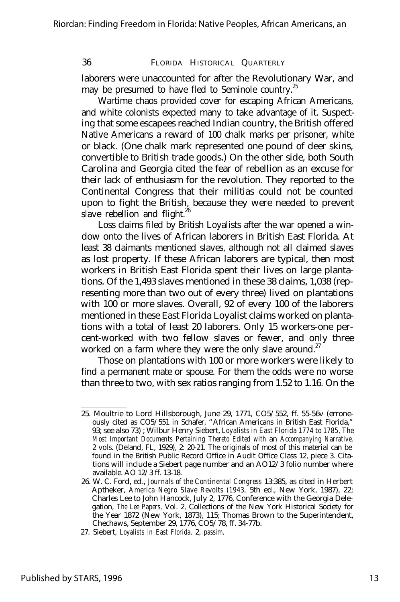laborers were unaccounted for after the Revolutionary War, and may be presumed to have fled to Seminole country.<sup>25</sup>

Wartime chaos provided cover for escaping African Americans, and white colonists expected many to take advantage of it. Suspecting that some escapees reached Indian country, the British offered Native Americans a reward of 100 chalk marks per prisoner, white or black. (One chalk mark represented one pound of deer skins, convertible to British trade goods.) On the other side, both South Carolina and Georgia cited the fear of rebellion as an excuse for their lack of enthusiasm for the revolution. They reported to the Continental Congress that their militias could not be counted upon to fight the British, because they were needed to prevent slave rebellion and flight. $26$ 

Loss claims filed by British Loyalists after the war opened a window onto the lives of African laborers in British East Florida. At least 38 claimants mentioned slaves, although not all claimed slaves as lost property. If these African laborers are typical, then most workers in British East Florida spent their lives on large plantations. Of the 1,493 slaves mentioned in these 38 claims, 1,038 (representing more than two out of every three) lived on plantations with 100 or more slaves. Overall, 92 of every 100 of the laborers mentioned in these East Florida Loyalist claims worked on plantations with a total of least 20 laborers. Only 15 workers-one percent-worked with two fellow slaves or fewer, and only three worked on a farm where they were the only slave around.<sup>27</sup>

Those on plantations with 100 or more workers were likely to find a permanent mate or spouse. For them the odds were no worse than three to two, with sex ratios ranging from 1.52 to 1.16. On the

<sup>25.</sup> Moultrie to Lord Hillsborough, June 29, 1771, CO5/552, ff. 55-56v (erroneously cited as CO5/551 in Schafer, "African Americans in British East Florida," 93; see also 73) ; Wilbur Henry Siebert, *Loyalists in East Florida 1774 to 1785, The Most Important Documents Pertaining Thereto Edited with* an *Accompanying Narrative,* 2 vols. (Deland, FL, 1929), 2: 20-21. The originals of most of this material can be found in the British Public Record Office in Audit Office Class 12, piece 3. Citations will include a Siebert page number and an AO12/3 folio number where available. AO 12/3 ff. 13-18.

<sup>26.</sup> W. C. Ford, ed., *Journals of the Continental Congress* 13:385, as cited in Herbert Aptheker, *America Negro Slave Revolts (1943,* 5th ed., New York, 1987), 22; Charles Lee to John Hancock, July 2, 1776, Conference with the Georgia Delegation, *The Lee Papers,* Vol. 2, Collections of the New York Historical Society for the Year 1872 (New York, 1873), 115; Thomas Brown to the Superintendent, Chechaws, September 29, 1776, CO5/78, ff. 34-77b.

<sup>27.</sup> Siebert, *Loyalists in East Florida,* 2, *passim.*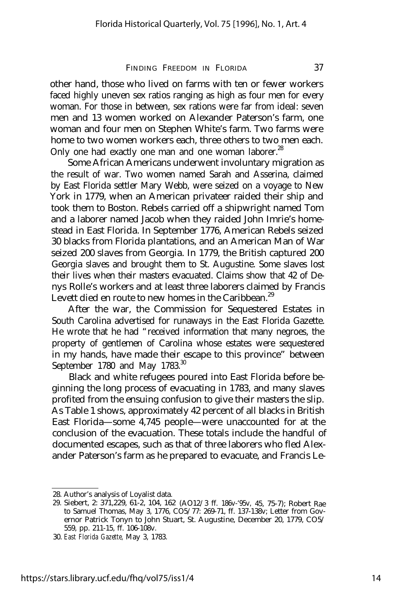other hand, those who lived on farms with ten or fewer workers faced highly uneven sex ratios ranging as high as four men for every woman. For those in between, sex rations were far from ideal: seven men and 13 women worked on Alexander Paterson's farm, one woman and four men on Stephen White's farm. Two farms were home to two women workers each, three others to two men each. Only one had exactly one man and one woman laborer.<sup>28</sup>

Some African Americans underwent involuntary migration as the result of war. Two women named Sarah and Asserina, claimed by East Florida settler Mary Webb, were seized on a voyage to New York in 1779, when an American privateer raided their ship and took them to Boston. Rebels carried off a shipwright named Tom and a laborer named Jacob when they raided John Imrie's homestead in East Florida. In September 1776, American Rebels seized 30 blacks from Florida plantations, and an American Man of War seized 200 slaves from Georgia. In 1779, the British captured 200 Georgia slaves and brought them to St. Augustine. Some slaves lost their lives when their masters evacuated. Claims show that 42 of Denys Rolle's workers and at least three laborers claimed by Francis Levett died en route to new homes in the Caribbean.<sup>29</sup>

After the war, the Commission for Sequestered Estates in South Carolina advertised for runaways in the East Florida Gazette. He wrote that he had "received information that many negroes, the property of gentlemen of Carolina whose estates were sequestered in my hands, have made their escape to this province" between September 1780 and May 1783.<sup>30</sup>

Black and white refugees poured into East Florida before beginning the long process of evacuating in 1783, and many slaves profited from the ensuing confusion to give their masters the slip. As Table 1 shows, approximately 42 percent of all blacks in British East Florida— some 4,745 people— were unaccounted for at the conclusion of the evacuation. These totals include the handful of documented escapes, such as that of three laborers who fled Alexander Paterson's farm as he prepared to evacuate, and Francis Le-

<sup>28.</sup> Author's analysis of Loyalist data.

<sup>29.</sup> Siebert, 2: 371,229, 61-2, 104, 162 (AO12/3 ff. 186v-'95v, 45, 75-7); Robert Rae to Samuel Thomas, May 3, 1776, CO5/77: 269-71, ff. 137-138v; Letter from Governor Patrick Tonyn to John Stuart, St. Augustine, December 20, 1779, CO5/ 559, pp. 211-15, ff. 106-108v.

<sup>30.</sup> *East Florida Gazette,* May 3, 1783.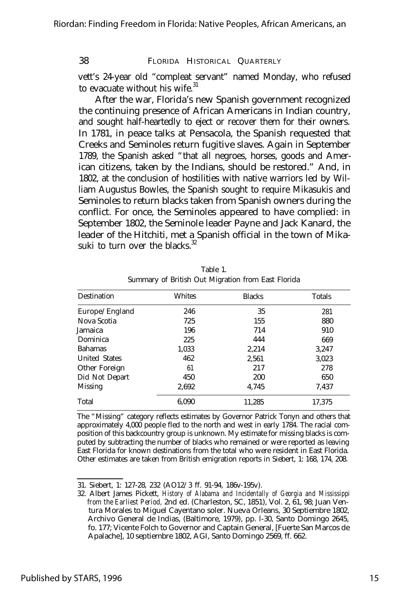vett's 24-year old "compleat servant" named Monday, who refused to evacuate without his wife.<sup>31</sup>

After the war, Florida's new Spanish government recognized the continuing presence of African Americans in Indian country, and sought half-heartedly to eject or recover them for their owners. In 1781, in peace talks at Pensacola, the Spanish requested that Creeks and Seminoles return fugitive slaves. Again in September 1789, the Spanish asked "that all negroes, horses, goods and American citizens, taken by the Indians, should be restored." And, in 1802, at the conclusion of hostilities with native warriors led by William Augustus Bowles, the Spanish sought to require Mikasukis and Seminoles to return blacks taken from Spanish owners during the conflict. For once, the Seminoles appeared to have complied: in September 1802, the Seminole leader Payne and Jack Kanard, the leader of the Hitchiti, met a Spanish official in the town of Mikasuki to turn over the blacks. $32$ 

| Destination          | <b>Whites</b> | <b>Blacks</b> | Totals |
|----------------------|---------------|---------------|--------|
| Europe/England       | 246           | 35            | 281    |
| Nova Scotia          | 725           | 155           | 880    |
| Jamaica              | 196           | 714           | 910    |
| Dominica             | 225           | 444           | 669    |
| <b>Bahamas</b>       | 1,033         | 2,214         | 3,247  |
| <b>United States</b> | 462           | 2,561         | 3,023  |
| Other Foreign        | 61            | 217           | 278    |
| Did Not Depart       | 450           | 200           | 650    |
| <b>Missing</b>       | 2,692         | 4.745         | 7,437  |
| Total                | 6,090         | 11,285        | 17,375 |

Table 1. Summary of British Out Migration from East Florida

The "Missing" category reflects estimates by Governor Patrick Tonyn and others that approximately 4,000 people fled to the north and west in early 1784. The racial composition of this backcountry group is unknown. My estimate for missing blacks is computed by subtracting the number of blacks who remained or were reported as leaving East Florida for known destinations from the total who were resident in East Florida. Other estimates are taken from British emigration reports in Siebert, 1: 168, 174, 208.

<sup>31.</sup> Siebert, 1: 127-28, 232 (AO12/3 ff. 91-94, 186v-195v).

<sup>32.</sup> Albert James Pickett, *History of Alabama and Incidentally of Georgia and Mississippi from the Earliest Period,* 2nd ed. (Charleston, SC, 1851), Vol. 2, 61, 98; Juan Ventura Morales to Miguel Cayentano soler. Nueva Orleans, 30 Septiembre 1802, Archivo General de Indias, (Baltimore, 1979), pp. l-30, Santo Domingo 2645, fo. 177; Vicente Folch to Governor and Captain General, [Fuerte San Marcos de Apalache], 10 septiembre 1802, AGI, Santo Domingo 2569, ff. 662.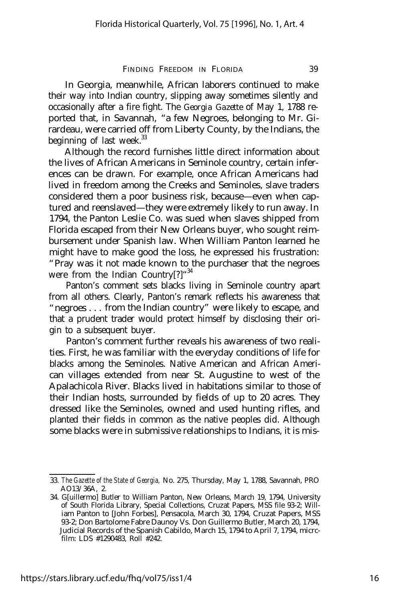In Georgia, meanwhile, African laborers continued to make their way into Indian country, slipping away sometimes silently and occasionally after a fire fight. The *Georgia Gazette* of May 1, 1788 reported that, in Savannah, "a few Negroes, belonging to Mr. Girardeau, were carried off from Liberty County, by the Indians, the beginning of last week. $33$ 

Although the record furnishes little direct information about the lives of African Americans in Seminole country, certain inferences can be drawn. For example, once African Americans had lived in freedom among the Creeks and Seminoles, slave traders considered them a poor business risk, because— even when captured and reenslaved— they were extremely likely to run away. In 1794, the Panton Leslie Co. was sued when slaves shipped from Florida escaped from their New Orleans buyer, who sought reimbursement under Spanish law. When William Panton learned he might have to make good the loss, he expressed his frustration: "Pray was it not made known to the purchaser that the negroes were from the Indian Country[?]"<sup>34</sup>

Panton's comment sets blacks living in Seminole country apart from all others. Clearly, Panton's remark reflects his awareness that "negroes . . . from the Indian country" were likely to escape, and that a prudent trader would protect himself by disclosing their origin to a subsequent buyer.

Panton's comment further reveals his awareness of two realities. First, he was familiar with the everyday conditions of life for blacks among the Seminoles. Native American and African American villages extended from near St. Augustine to west of the Apalachicola River. Blacks lived in habitations similar to those of their Indian hosts, surrounded by fields of up to 20 acres. They dressed like the Seminoles, owned and used hunting rifles, and planted their fields in common as the native peoples did. Although some blacks were in submissive relationships to Indians, it is mis-

<sup>33.</sup> *The Gazette of the State of Georgia,* No. 275, Thursday, May 1, 1788, Savannah, PRO AO13/36A, 2.

<sup>34.</sup> G[uillermo] Butler to William Panton, New Orleans, March 19, 1794, University of South Florida Library, Special Collections, Cruzat Papers, MSS file 93-2; William Panton to [John Forbes], Pensacola, March 30, 1794, Cruzat Papers, MSS 93-2; Don Bartolome Fabre Daunoy Vs. Don Guillermo Butler, March 20, 1794, Judicial Records of the Spanish Cabildo, March 15, 1794 to April 7, 1794, micrcfilm: LDS #1290483, Roll #242.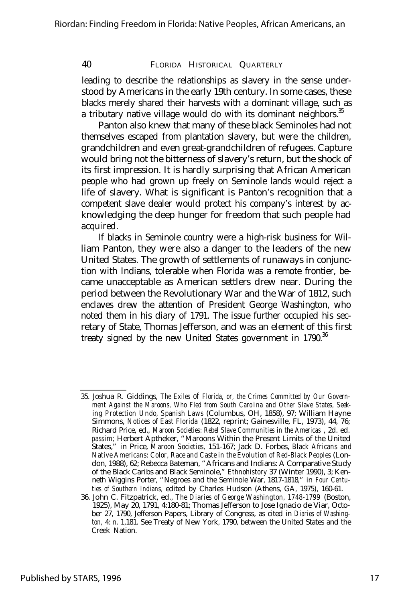leading to describe the relationships as slavery in the sense understood by Americans in the early 19th century. In some cases, these blacks merely shared their harvests with a dominant village, such as a tributary native village would do with its dominant neighbors.<sup>35</sup>

Panton also knew that many of these black Seminoles had not themselves escaped from plantation slavery, but were the children, grandchildren and even great-grandchildren of refugees. Capture would bring not the bitterness of slavery's return, but the shock of its first impression. It is hardly surprising that African American people who had grown up freely on Seminole lands would reject a life of slavery. What is significant is Panton's recognition that a competent slave dealer would protect his company's interest by acknowledging the deep hunger for freedom that such people had acquired.

If blacks in Seminole country were a high-risk business for William Panton, they were also a danger to the leaders of the new United States. The growth of settlements of runaways in conjunction with Indians, tolerable when Florida was a remote frontier, became unacceptable as American settlers drew near. During the period between the Revolutionary War and the War of 1812, such enclaves drew the attention of President George Washington, who noted them in his diary of 1791. The issue further occupied his secretary of State, Thomas Jefferson, and was an element of this first treaty signed by the new United States government in  $1790$ .<sup>36</sup>

<sup>35.</sup> Joshua R. Giddings, *The Exiles of Florida, or, the Crimes Committed by Our Government Against the Maroons, Who Fled from South Carolina and Other Slave States, Seeking Protection Undo, Spanish Laws* (Columbus, OH, 1858), 97; William Hayne Simmons, *Notices of East Florida* (1822, reprint; Gainesville, FL, 1973), 44, 76; Richard Price, ed., *Maroon Societies: Rebel Slave Communities in the Americas* , 2d. ed. *passim;* Herbert Aptheker, "Maroons Within the Present Limits of the United States," in Price, *Maroon Societies,* 151-167; Jack D. Forbes, *Black Africans and Native Americans: Color, Race and Caste in the Evolution of Red-Black Peoples* (London, 1988), 62; Rebecca Bateman, "Africans and Indians: A Comparative Study of the Black Caribs and Black Seminole," *Ethnohistory* 37 (Winter 1990), 3; Kenneth Wiggins Porter, "Negroes and the Seminole War, 1817-1818," in *Four Centuties of Southern Indians,* edited by Charles Hudson (Athens, GA, 1975), 160-61.

<sup>36.</sup> John C. Fitzpatrick, ed., *The Diaries of George Washington, 1748-1799* (Boston, 1925), May 20, 1791, 4:180-81; Thomas Jefferson to Jose Ignacio de Viar, October 27, 1790, Jefferson Papers, Library of Congress, as cited in *Diaries of Washington,* 4: *n.* 1,181. See Treaty of New York, 1790, between the United States and the Creek Nation.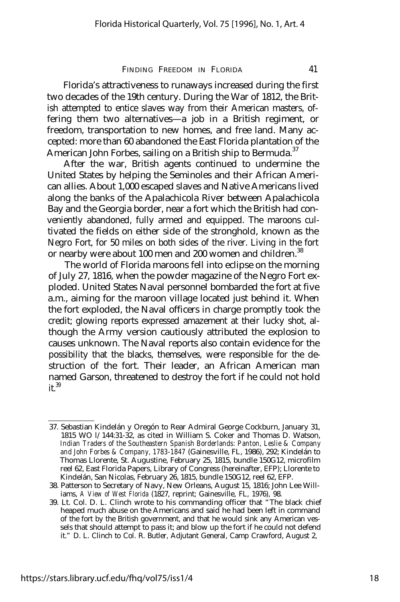Florida's attractiveness to runaways increased during the first two decades of the 19th century. During the War of 1812, the British attempted to entice slaves way from their American masters, offering them two alternatives— a job in a British regiment, or freedom, transportation to new homes, and free land. Many accepted: more than 60 abandoned the East Florida plantation of the American John Forbes, sailing on a British ship to Bermuda.<sup>37</sup>

After the war, British agents continued to undermine the United States by helping the Seminoles and their African American allies. About 1,000 escaped slaves and Native Americans lived along the banks of the Apalachicola River between Apalachicola Bay and the Georgia border, near a fort which the British had conveniently abandoned, fully armed and equipped. The maroons cultivated the fields on either side of the stronghold, known as the Negro Fort, for 50 miles on both sides of the river. Living in the fort or nearby were about 100 men and 200 women and children.<sup>38</sup>

The world of Florida maroons fell into eclipse on the morning of July 27, 1816, when the powder magazine of the Negro Fort exploded. United States Naval personnel bombarded the fort at five a.m., aiming for the maroon village located just behind it. When the fort exploded, the Naval officers in charge promptly took the credit; glowing reports expressed amazement at their lucky shot, although the Army version cautiously attributed the explosion to causes unknown. The Naval reports also contain evidence for the possibility that the blacks, themselves, were responsible for the destruction of the fort. Their leader, an African American man named Garson, threatened to destroy the fort if he could not hold  $it.<sup>39</sup>$ 

<sup>37.</sup> Sebastian Kindelán y Oregón to Rear Admiral George Cockburn, January 31, 1815 WO l/144:31-32, as cited in William S. Coker and Thomas D. Watson, *Indian Traders of the Southeastern Spanish Borderlands: Panton, Leslie & Company and John Forbes & Company, 1783-1847* (Gainesville, FL, 1986), 292; Kindelán to Thomas Llorente, St. Augustine, February 25, 1815, bundle 150G12, microfilm reel 62, East Florida Papers, Library of Congress (hereinafter, EFP); Llorente to Kindelán, San Nicolas, February 26, 1815, bundle 150G12, reel 62, EFP.

<sup>38.</sup> Patterson to Secretary of Navy, New Orleans, August 15, 1816; John Lee Williams, *A View of West Florida* (1827, reprint; Gainesville, FL, 1976), 98.

<sup>39.</sup> Lt. Col. D. L. Clinch wrote to his commanding officer that "The black chief heaped much abuse on the Americans and said he had been left in command of the fort by the British government, and that he would sink any American vessels that should attempt to pass it; and blow up the fort if he could not defend it." D. L. Clinch to Col. R. Butler, Adjutant General, Camp Crawford, August 2,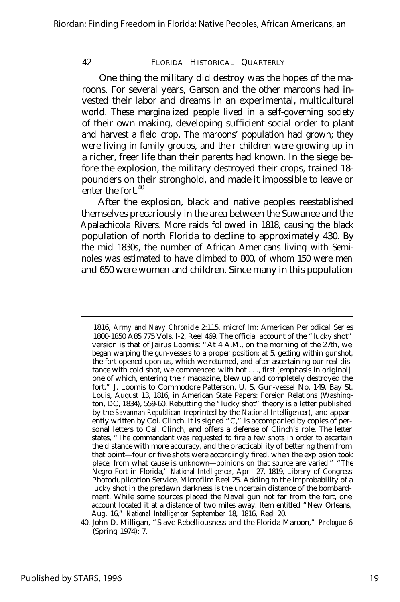One thing the military did destroy was the hopes of the maroons. For several years, Garson and the other maroons had invested their labor and dreams in an experimental, multicultural world. These marginalized people lived in a self-governing society of their own making, developing sufficient social order to plant and harvest a field crop. The maroons' population had grown; they were living in family groups, and their children were growing up in a richer, freer life than their parents had known. In the siege before the explosion, the military destroyed their crops, trained 18 pounders on their stronghold, and made it impossible to leave or enter the fort.<sup>40</sup>

After the explosion, black and native peoples reestablished themselves precariously in the area between the Suwanee and the Apalachicola Rivers. More raids followed in 1818, causing the black population of north Florida to decline to approximately 430. By the mid 1830s, the number of African Americans living with Seminoles was estimated to have climbed to 800, of whom 150 were men and 650 were women and children. Since many in this population

<sup>1816,</sup> *Army and Navy Chronicle* 2:115, microfilm: American Periodical Series 1800-1850 A85 775 Vols. l-2, Reel 469. The official account of the "lucky shot" version is that of Jairus Loomis: "At 4 A.M., on the morning of the 27th, we began warping the gun-vessels to a proper position; at 5, getting within gunshot, the fort opened upon us, which we returned, and after ascertaining our real distance with cold shot, we commenced with hot . . ., *first* [emphasis in original] one of which, entering their magazine, blew up and completely destroyed the fort." J. Loomis to Commodore Patterson, U. S. Gun-vessel No. 149, Bay St. Louis, August 13, 1816, in American State Papers: Foreign Relations (Washington, DC, 1834), 559-60. Rebutting the "lucky shot" theory is a letter published by the *Savannah Republican* (reprinted by the *National Intelligencer),* and apparently written by Col. Clinch. It is signed "C," is accompanied by copies of personal letters to Cal. Clinch, and offers a defense of Clinch's role. The letter states, "The commandant was requested to fire a few shots in order to ascertain the distance with more accuracy, and the practicability of bettering them from that point— four or five shots were accordingly fired, when the explosion took place; from what cause is unknown- opinions on that source are varied." "The Negro Fort in Florida," *National Intelligencer,* April 27, 1819, Library of Congress Photoduplication Service, Microfilm Reel 25. Adding to the improbability of a lucky shot in the predawn darkness is the uncertain distance of the bombardment. While some sources placed the Naval gun not far from the fort, one account located it at a distance of two miles away. Item entitled "New Orleans, Aug. 16," *National Intelligencer* September 18, 1816, Reel 20.

<sup>40.</sup> John D. Milligan, "Slave Rebelliousness and the Florida Maroon," *Prologue* 6 (Spring 1974): 7.